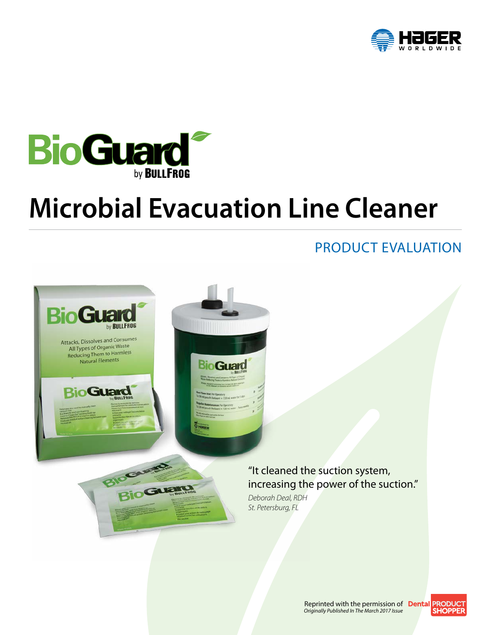



# **Microbial Evacuation Line Cleaner**

### PRODUCT EVALUATION



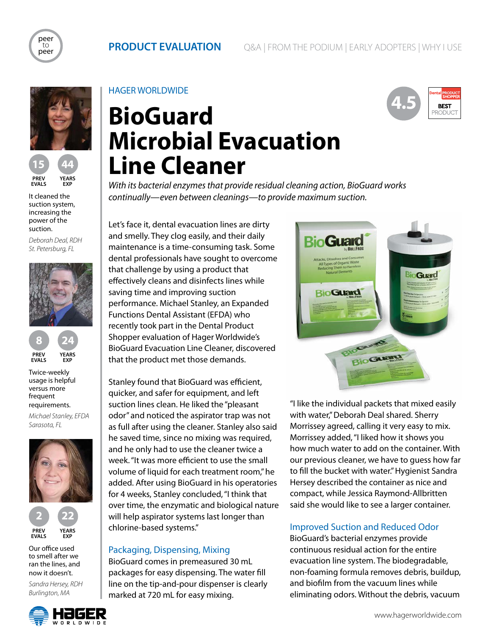









It cleaned the suction system, increasing the power of the suction.

*Deborah Deal, RDH St. Petersburg, FL*





Twice-weekly usage is helpful versus more frequent requirements.

*Michael Stanley, EFDA Sarasota, FL*



Our office used to smell after we ran the lines, and now it doesn't.

*Sandra Hersey, RDH Burlington, MA*



HAGER WORLDWIDE

## **BioGuard Microbial Evacuation Line Cleaner** *With its bacterial enzymes that provide residual cleaning action, BioGuard works*

*continually—even between cleanings—to provide maximum suction.*

Let's face it, dental evacuation lines are dirty and smelly. They clog easily, and their daily maintenance is a time-consuming task. Some dental professionals have sought to overcome

that challenge by using a product that effectively cleans and disinfects lines while

performance. Michael Stanley, an Expanded Functions Dental Assistant (EFDA) who recently took part in the Dental Product Shopper evaluation of Hager Worldwide's BioGuard Evacuation Line Cleaner, discovered

saving time and improving suction

that the product met those demands.



Stanley found that BioGuard was efficient, quicker, and safer for equipment, and left suction lines clean. He liked the "pleasant odor" and noticed the aspirator trap was not as full after using the cleaner. Stanley also said he saved time, since no mixing was required, and he only had to use the cleaner twice a week. "It was more efficient to use the small volume of liquid for each treatment room," he added. After using BioGuard in his operatories for 4 weeks, Stanley concluded, "I think that over time, the enzymatic and biological nature will help aspirator systems last longer than chlorine-based systems."

### Packaging, Dispensing, Mixing

BioGuard comes in premeasured 30 mL packages for easy dispensing. The water fill line on the tip-and-pour dispenser is clearly marked at 720 mL for easy mixing.

"I like the individual packets that mixed easily with water," Deborah Deal shared. Sherry Morrissey agreed, calling it very easy to mix. Morrissey added, "I liked how it shows you how much water to add on the container. With our previous cleaner, we have to guess how far to fill the bucket with water." Hygienist Sandra Hersey described the container as nice and compact, while Jessica Raymond-Allbritten said she would like to see a larger container.

### Improved Suction and Reduced Odor

BioGuard's bacterial enzymes provide continuous residual action for the entire evacuation line system. The biodegradable, non-foaming formula removes debris, buildup, and biofilm from the vacuum lines while eliminating odors. Without the debris, vacuum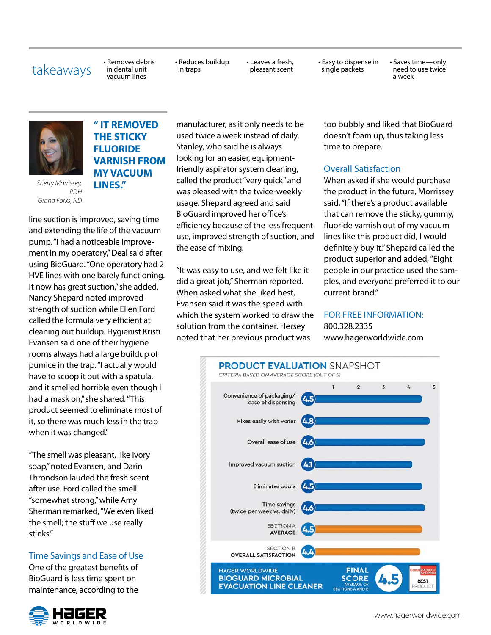takeaways • Removes debris in dental unit vacuum lines

• Reduces buildup in traps

• Leaves a fresh, pleasant scent • Easy to dispense in single packets

• Saves time—only need to use twice a week



*Sherry Morrissey, RDH Grand Forks, ND*

### **" IT REMOVED THE STICKY FLUORIDE VARNISH FROM MY VACUUM LINES."**

line suction is improved, saving time and extending the life of the vacuum pump. "I had a noticeable improvement in my operatory," Deal said after using BioGuard. "One operatory had 2 HVE lines with one barely functioning. It now has great suction," she added. Nancy Shepard noted improved strength of suction while Ellen Ford called the formula very efficient at cleaning out buildup. Hygienist Kristi Evansen said one of their hygiene rooms always had a large buildup of pumice in the trap. "I actually would have to scoop it out with a spatula, and it smelled horrible even though I had a mask on," she shared. "This product seemed to eliminate most of it, so there was much less in the trap when it was changed."

"The smell was pleasant, like Ivory soap," noted Evansen, and Darin Throndson lauded the fresh scent after use. Ford called the smell "somewhat strong," while Amy Sherman remarked, "We even liked the smell; the stuff we use really stinks."

### Time Savings and Ease of Use

One of the greatest benefits of BioGuard is less time spent on maintenance, according to the



manufacturer, as it only needs to be used twice a week instead of daily. Stanley, who said he is always looking for an easier, equipmentfriendly aspirator system cleaning, called the product "very quick" and was pleased with the twice-weekly usage. Shepard agreed and said BioGuard improved her office's efficiency because of the less frequent use, improved strength of suction, and the ease of mixing.

"It was easy to use, and we felt like it did a great job," Sherman reported. When asked what she liked best, Evansen said it was the speed with which the system worked to draw the solution from the container. Hersey noted that her previous product was

too bubbly and liked that BioGuard doesn't foam up, thus taking less time to prepare.

### Overall Satisfaction

When asked if she would purchase the product in the future, Morrissey said, "If there's a product available that can remove the sticky, gummy, fluoride varnish out of my vacuum lines like this product did, I would definitely buy it." Shepard called the product superior and added, "Eight people in our practice used the samples, and everyone preferred it to our current brand."

### FOR FREE INFORMATION: 800.328.2335

www.hagerworldwide.com